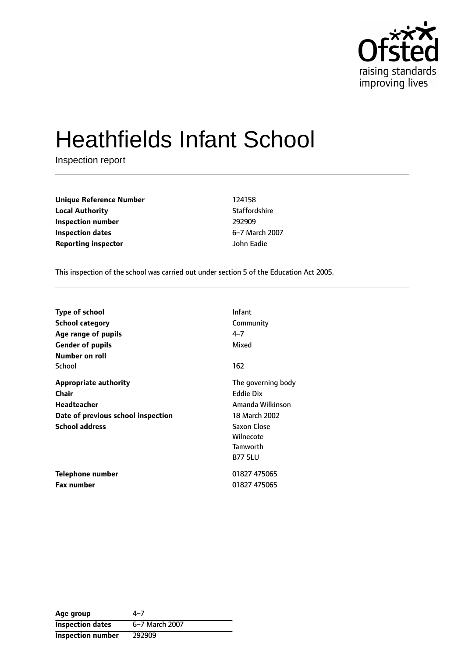

# Heathfields Infant School

Inspection report

**Unique Reference Number** 124158 **Local Authority Contract Contract Contract Authority** Staffordshire **Inspection number** 292909 **Inspection dates** 6-7 March 2007 **Reporting inspector** John Eadie

This inspection of the school was carried out under section 5 of the Education Act 2005.

| <b>Type of school</b>              | Infant             |
|------------------------------------|--------------------|
| School category                    | Community          |
| Age range of pupils                | 4–7                |
| <b>Gender of pupils</b>            | Mixed              |
| <b>Number on roll</b>              |                    |
| School                             | 162                |
| <b>Appropriate authority</b>       | The governing body |
| Chair                              | Eddie Dix          |
| <b>Headteacher</b>                 | Amanda Wilkinson   |
| Date of previous school inspection | 18 March 2002      |
| <b>School address</b>              | Saxon Close        |
|                                    | Wilnecote          |
|                                    | Tamworth           |
|                                    | <b>B77 5LU</b>     |
| Telephone number                   | 01827 475065       |
| <b>Fax number</b>                  | 01827 475065       |

| Age group                | 4–7            |
|--------------------------|----------------|
| <b>Inspection dates</b>  | 6-7 March 2007 |
| <b>Inspection number</b> | 292909         |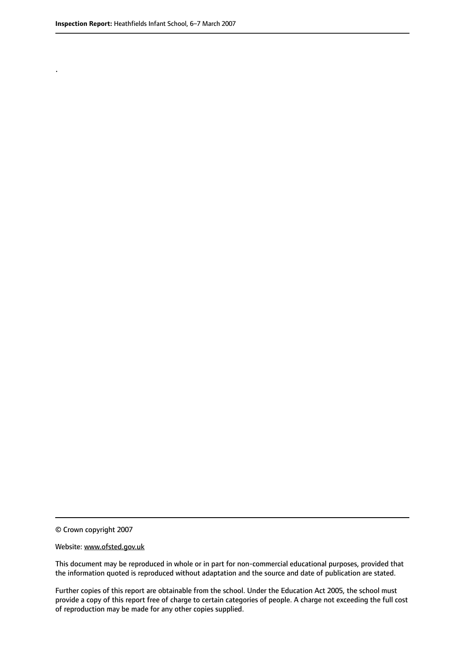.

© Crown copyright 2007

#### Website: www.ofsted.gov.uk

This document may be reproduced in whole or in part for non-commercial educational purposes, provided that the information quoted is reproduced without adaptation and the source and date of publication are stated.

Further copies of this report are obtainable from the school. Under the Education Act 2005, the school must provide a copy of this report free of charge to certain categories of people. A charge not exceeding the full cost of reproduction may be made for any other copies supplied.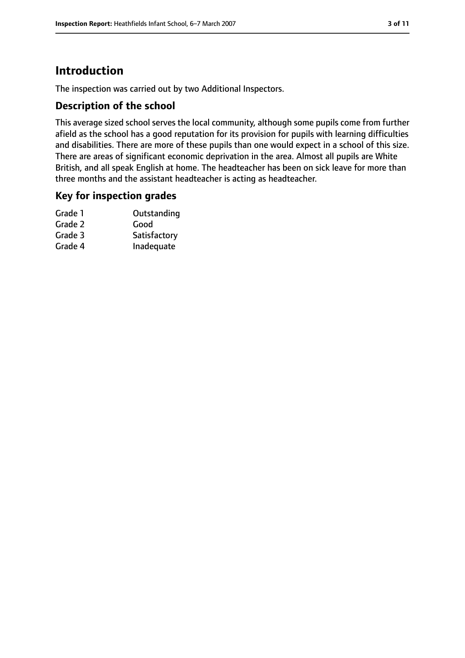## **Introduction**

The inspection was carried out by two Additional Inspectors.

#### **Description of the school**

This average sized school serves the local community, although some pupils come from further afield as the school has a good reputation for its provision for pupils with learning difficulties and disabilities. There are more of these pupils than one would expect in a school of this size. There are areas of significant economic deprivation in the area. Almost all pupils are White British, and all speak English at home. The headteacher has been on sick leave for more than three months and the assistant headteacher is acting as headteacher.

#### **Key for inspection grades**

| Grade 1 | Outstanding  |
|---------|--------------|
| Grade 2 | Good         |
| Grade 3 | Satisfactory |
| Grade 4 | Inadequate   |
|         |              |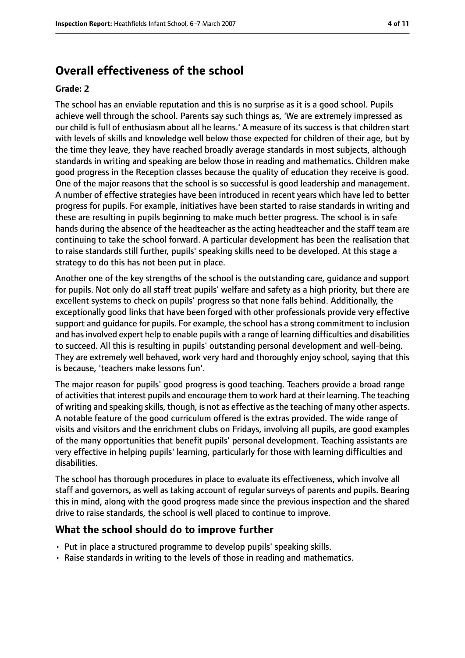## **Overall effectiveness of the school**

#### **Grade: 2**

The school has an enviable reputation and this is no surprise as it is a good school. Pupils achieve well through the school. Parents say such things as, 'We are extremely impressed as our child is full of enthusiasm about all he learns.' A measure of its success is that children start with levels of skills and knowledge well below those expected for children of their age, but by the time they leave, they have reached broadly average standards in most subjects, although standards in writing and speaking are below those in reading and mathematics. Children make good progress in the Reception classes because the quality of education they receive is good. One of the major reasons that the school is so successful is good leadership and management. A number of effective strategies have been introduced in recent years which have led to better progress for pupils. For example, initiatives have been started to raise standards in writing and these are resulting in pupils beginning to make much better progress. The school is in safe hands during the absence of the headteacher as the acting headteacher and the staff team are continuing to take the school forward. A particular development has been the realisation that to raise standards still further, pupils' speaking skills need to be developed. At this stage a strategy to do this has not been put in place.

Another one of the key strengths of the school is the outstanding care, guidance and support for pupils. Not only do all staff treat pupils' welfare and safety as a high priority, but there are excellent systems to check on pupils' progress so that none falls behind. Additionally, the exceptionally good links that have been forged with other professionals provide very effective support and guidance for pupils. For example, the school has a strong commitment to inclusion and hasinvolved expert help to enable pupils with a range of learning difficulties and disabilities to succeed. All this is resulting in pupils' outstanding personal development and well-being. They are extremely well behaved, work very hard and thoroughly enjoy school, saying that this is because, 'teachers make lessons fun'.

The major reason for pupils' good progress is good teaching. Teachers provide a broad range of activities that interest pupils and encourage them to work hard at their learning. The teaching of writing and speaking skills, though, is not as effective asthe teaching of many other aspects. A notable feature of the good curriculum offered is the extras provided. The wide range of visits and visitors and the enrichment clubs on Fridays, involving all pupils, are good examples of the many opportunities that benefit pupils' personal development. Teaching assistants are very effective in helping pupils' learning, particularly for those with learning difficulties and disabilities.

The school has thorough procedures in place to evaluate its effectiveness, which involve all staff and governors, as well as taking account of regular surveys of parents and pupils. Bearing this in mind, along with the good progress made since the previous inspection and the shared drive to raise standards, the school is well placed to continue to improve.

#### **What the school should do to improve further**

- Put in place a structured programme to develop pupils' speaking skills.
- Raise standards in writing to the levels of those in reading and mathematics.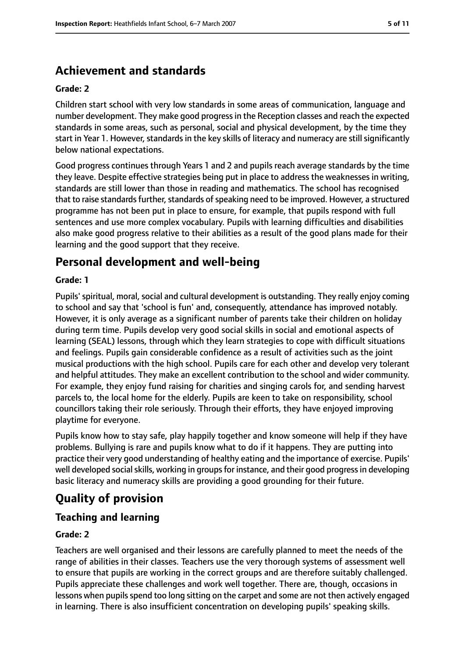# **Achievement and standards**

#### **Grade: 2**

Children start school with very low standards in some areas of communication, language and number development. They make good progressin the Reception classes and reach the expected standards in some areas, such as personal, social and physical development, by the time they start in Year 1. However, standards in the key skills of literacy and numeracy are still significantly below national expectations.

Good progress continues through Years 1 and 2 and pupils reach average standards by the time they leave. Despite effective strategies being put in place to address the weaknesses in writing, standards are still lower than those in reading and mathematics. The school has recognised that to raise standards further, standards of speaking need to be improved. However, a structured programme has not been put in place to ensure, for example, that pupils respond with full sentences and use more complex vocabulary. Pupils with learning difficulties and disabilities also make good progress relative to their abilities as a result of the good plans made for their learning and the good support that they receive.

## **Personal development and well-being**

#### **Grade: 1**

Pupils' spiritual, moral, social and cultural development is outstanding. They really enjoy coming to school and say that 'school is fun' and, consequently, attendance has improved notably. However, it is only average as a significant number of parents take their children on holiday during term time. Pupils develop very good social skills in social and emotional aspects of learning (SEAL) lessons, through which they learn strategies to cope with difficult situations and feelings. Pupils gain considerable confidence as a result of activities such as the joint musical productions with the high school. Pupils care for each other and develop very tolerant and helpful attitudes. They make an excellent contribution to the school and wider community. For example, they enjoy fund raising for charities and singing carols for, and sending harvest parcels to, the local home for the elderly. Pupils are keen to take on responsibility, school councillors taking their role seriously. Through their efforts, they have enjoyed improving playtime for everyone.

Pupils know how to stay safe, play happily together and know someone will help if they have problems. Bullying is rare and pupils know what to do if it happens. They are putting into practice their very good understanding of healthy eating and the importance of exercise. Pupils' well developed social skills, working in groups for instance, and their good progress in developing basic literacy and numeracy skills are providing a good grounding for their future.

# **Quality of provision**

#### **Teaching and learning**

#### **Grade: 2**

Teachers are well organised and their lessons are carefully planned to meet the needs of the range of abilities in their classes. Teachers use the very thorough systems of assessment well to ensure that pupils are working in the correct groups and are therefore suitably challenged. Pupils appreciate these challenges and work well together. There are, though, occasions in lessons when pupils spend too long sitting on the carpet and some are not then actively engaged in learning. There is also insufficient concentration on developing pupils' speaking skills.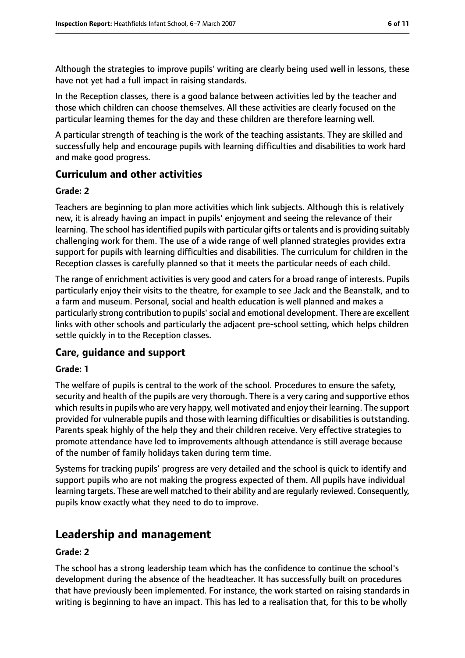Although the strategies to improve pupils' writing are clearly being used well in lessons, these have not yet had a full impact in raising standards.

In the Reception classes, there is a good balance between activities led by the teacher and those which children can choose themselves. All these activities are clearly focused on the particular learning themes for the day and these children are therefore learning well.

A particular strength of teaching is the work of the teaching assistants. They are skilled and successfully help and encourage pupils with learning difficulties and disabilities to work hard and make good progress.

#### **Curriculum and other activities**

#### **Grade: 2**

Teachers are beginning to plan more activities which link subjects. Although this is relatively new, it is already having an impact in pupils' enjoyment and seeing the relevance of their learning. The school hasidentified pupils with particular gifts or talents and is providing suitably challenging work for them. The use of a wide range of well planned strategies provides extra support for pupils with learning difficulties and disabilities. The curriculum for children in the Reception classes is carefully planned so that it meets the particular needs of each child.

The range of enrichment activities is very good and caters for a broad range of interests. Pupils particularly enjoy their visits to the theatre, for example to see Jack and the Beanstalk, and to a farm and museum. Personal, social and health education is well planned and makes a particularly strong contribution to pupils'social and emotional development. There are excellent links with other schools and particularly the adjacent pre-school setting, which helps children settle quickly in to the Reception classes.

#### **Care, guidance and support**

#### **Grade: 1**

The welfare of pupils is central to the work of the school. Procedures to ensure the safety, security and health of the pupils are very thorough. There is a very caring and supportive ethos which results in pupils who are very happy, well motivated and enjoy their learning. The support provided for vulnerable pupils and those with learning difficulties or disabilities is outstanding. Parents speak highly of the help they and their children receive. Very effective strategies to promote attendance have led to improvements although attendance is still average because of the number of family holidays taken during term time.

Systems for tracking pupils' progress are very detailed and the school is quick to identify and support pupils who are not making the progress expected of them. All pupils have individual learning targets. These are well matched to their ability and are regularly reviewed. Consequently, pupils know exactly what they need to do to improve.

## **Leadership and management**

#### **Grade: 2**

The school has a strong leadership team which has the confidence to continue the school's development during the absence of the headteacher. It has successfully built on procedures that have previously been implemented. For instance, the work started on raising standards in writing is beginning to have an impact. This has led to a realisation that, for this to be wholly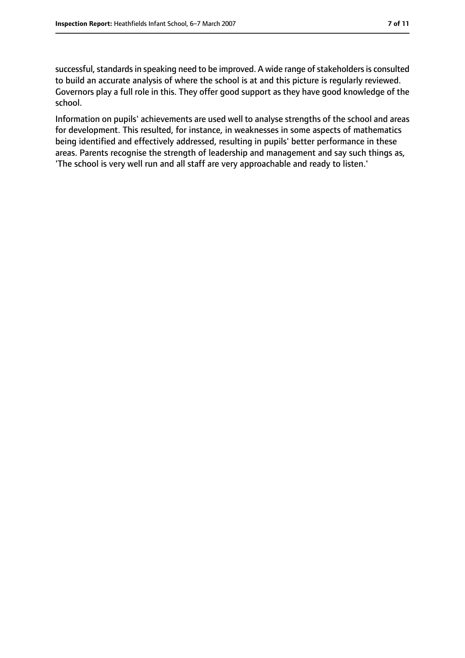successful, standards in speaking need to be improved. A wide range of stakeholders is consulted to build an accurate analysis of where the school is at and this picture is regularly reviewed. Governors play a full role in this. They offer good support as they have good knowledge of the school.

Information on pupils' achievements are used well to analyse strengths of the school and areas for development. This resulted, for instance, in weaknesses in some aspects of mathematics being identified and effectively addressed, resulting in pupils' better performance in these areas. Parents recognise the strength of leadership and management and say such things as, 'The school is very well run and all staff are very approachable and ready to listen.'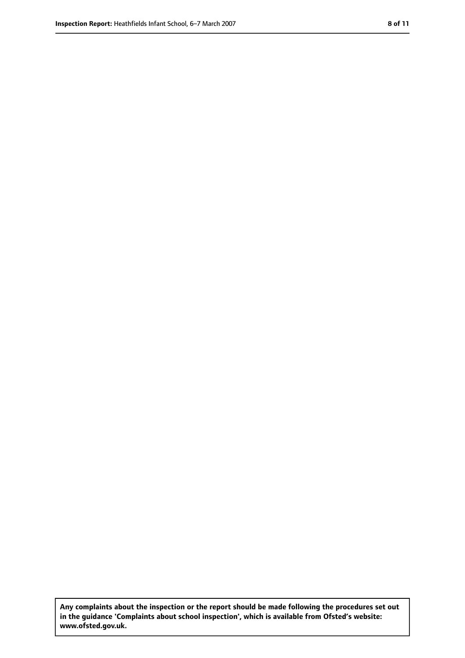**Any complaints about the inspection or the report should be made following the procedures set out in the guidance 'Complaints about school inspection', which is available from Ofsted's website: www.ofsted.gov.uk.**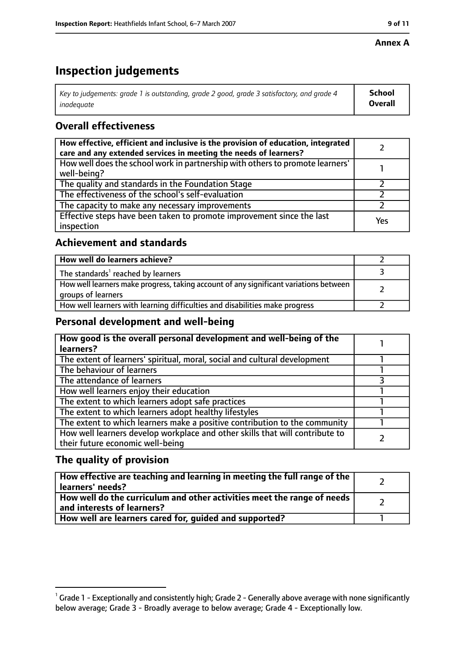#### **Annex A**

# **Inspection judgements**

| Key to judgements: grade 1 is outstanding, grade 2 good, grade 3 satisfactory, and grade 4 $\,$ | <b>School</b>  |
|-------------------------------------------------------------------------------------------------|----------------|
| inadequate                                                                                      | <b>Overall</b> |

## **Overall effectiveness**

| How effective, efficient and inclusive is the provision of education, integrated<br>care and any extended services in meeting the needs of learners? |     |
|------------------------------------------------------------------------------------------------------------------------------------------------------|-----|
| How well does the school work in partnership with others to promote learners'<br>well-being?                                                         |     |
| The quality and standards in the Foundation Stage                                                                                                    |     |
| The effectiveness of the school's self-evaluation                                                                                                    |     |
| The capacity to make any necessary improvements                                                                                                      |     |
| Effective steps have been taken to promote improvement since the last<br>inspection                                                                  | Yes |

## **Achievement and standards**

| How well do learners achieve?                                                                               |  |
|-------------------------------------------------------------------------------------------------------------|--|
| The standards <sup>1</sup> reached by learners                                                              |  |
| How well learners make progress, taking account of any significant variations between<br>groups of learners |  |
| How well learners with learning difficulties and disabilities make progress                                 |  |

## **Personal development and well-being**

| How good is the overall personal development and well-being of the<br>learners?                                  |  |
|------------------------------------------------------------------------------------------------------------------|--|
| The extent of learners' spiritual, moral, social and cultural development                                        |  |
| The behaviour of learners                                                                                        |  |
| The attendance of learners                                                                                       |  |
| How well learners enjoy their education                                                                          |  |
| The extent to which learners adopt safe practices                                                                |  |
| The extent to which learners adopt healthy lifestyles                                                            |  |
| The extent to which learners make a positive contribution to the community                                       |  |
| How well learners develop workplace and other skills that will contribute to<br>their future economic well-being |  |

## **The quality of provision**

| How effective are teaching and learning in meeting the full range of the<br>learners' needs?          |  |
|-------------------------------------------------------------------------------------------------------|--|
| How well do the curriculum and other activities meet the range of needs<br>and interests of learners? |  |
| How well are learners cared for, quided and supported?                                                |  |

 $^1$  Grade 1 - Exceptionally and consistently high; Grade 2 - Generally above average with none significantly below average; Grade 3 - Broadly average to below average; Grade 4 - Exceptionally low.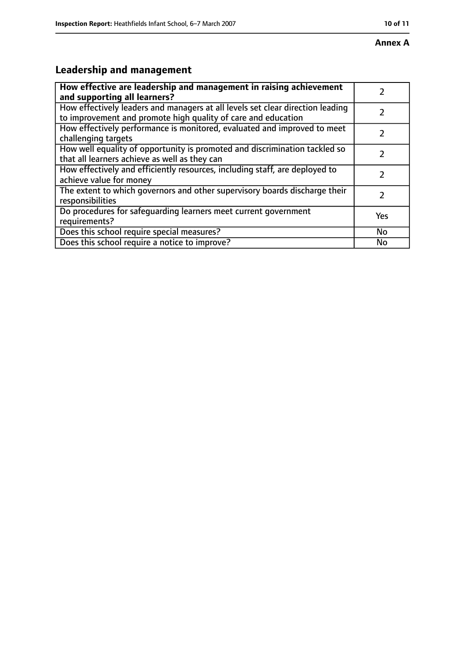# **Leadership and management**

| How effective are leadership and management in raising achievement<br>and supporting all learners?                                              |           |
|-------------------------------------------------------------------------------------------------------------------------------------------------|-----------|
| How effectively leaders and managers at all levels set clear direction leading<br>to improvement and promote high quality of care and education |           |
| How effectively performance is monitored, evaluated and improved to meet<br>challenging targets                                                 |           |
| How well equality of opportunity is promoted and discrimination tackled so<br>that all learners achieve as well as they can                     |           |
| How effectively and efficiently resources, including staff, are deployed to<br>achieve value for money                                          |           |
| The extent to which governors and other supervisory boards discharge their<br>responsibilities                                                  | 7         |
| Do procedures for safequarding learners meet current government<br>requirements?                                                                | Yes       |
| Does this school require special measures?                                                                                                      | <b>No</b> |
| Does this school require a notice to improve?                                                                                                   | No        |